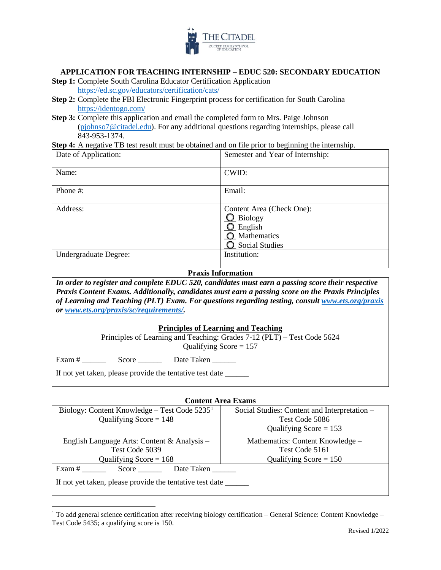

## **APPLICATION FOR TEACHING INTERNSHIP – EDUC 520: SECONDARY EDUCATION**

- **Step 1:** Complete South Carolina Educator Certification Application <https://ed.sc.gov/educators/certification/cats/>
- **Step 2:** Complete the FBI Electronic Fingerprint process for certification for South Carolina <https://identogo.com/>
- **Step 3:** Complete this application and email the completed form to Mrs. Paige Johnson [\(pjohnso7@citadel.edu\)](mailto:pjohnso7@citadel.edu). For any additional questions regarding internships, please call 843-953-1374.

**Step 4:** A negative TB test result must be obtained and on file prior to beginning the internship.

| Date of Application:  | Semester and Year of Internship:                                                                         |
|-----------------------|----------------------------------------------------------------------------------------------------------|
| Name:                 | CWID:                                                                                                    |
| Phone #:              | Email:                                                                                                   |
| Address:              | Content Area (Check One):<br>$\Omega$ Biology<br>$Q$ English<br><b>O</b> Mathematics<br>O Social Studies |
| Undergraduate Degree: | Institution:                                                                                             |

## **Praxis Information**

*In order to register and complete EDUC 520, candidates must earn a passing score their respective Praxis Content Exams. Additionally, candidates must earn a passing score on the Praxis Principles of Learning and Teaching (PLT) Exam. For questions regarding testing, consult [www.ets.org/praxis](http://www.ets.org/praxis) or [www.ets.org/praxis/sc/requirements/.](http://www.ets.org/praxis/sc/requirements/)* 

#### **Principles of Learning and Teaching**

| Principles of Learning and Teaching: Grades 7-12 (PLT) – Test Code 5624 |  |
|-------------------------------------------------------------------------|--|
| Qualifying Score $= 157$                                                |  |

Exam # \_\_\_\_\_\_ Score \_\_\_\_\_\_ Date Taken \_\_\_\_\_\_

If not yet taken, please provide the tentative test date \_\_\_\_\_\_

#### **Content Area Exams**

| Biology: Content Knowledge – Test Code $52351$           | Social Studies: Content and Interpretation - |  |  |  |
|----------------------------------------------------------|----------------------------------------------|--|--|--|
| Qualifying Score = $148$                                 | Test Code 5086                               |  |  |  |
|                                                          | Qualifying Score = $153$                     |  |  |  |
| English Language Arts: Content & Analysis –              | Mathematics: Content Knowledge -             |  |  |  |
| Test Code 5039                                           | Test Code 5161                               |  |  |  |
| Qualifying Score $= 168$                                 | Qualifying Score $= 150$                     |  |  |  |
| Exam $#$<br>Date Taken<br>Score                          |                                              |  |  |  |
| If not yet taken, please provide the tentative test date |                                              |  |  |  |

<span id="page-0-0"></span><sup>&</sup>lt;sup>1</sup> To add general science certification after receiving biology certification – General Science: Content Knowledge – Test Code 5435; a qualifying score is 150.